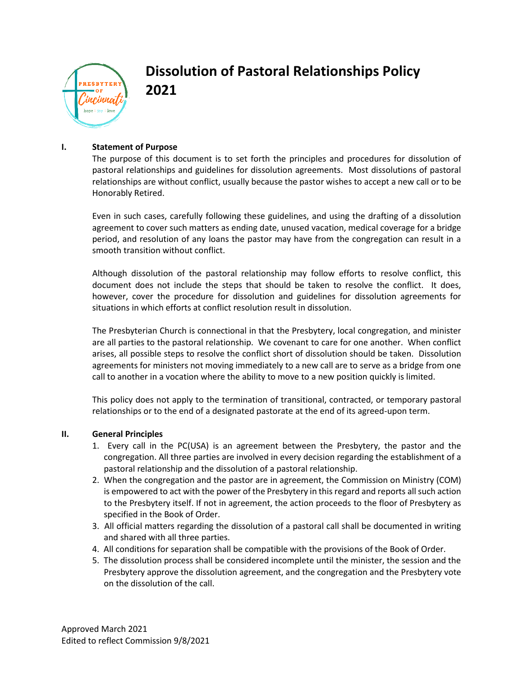

# **Dissolution of Pastoral Relationships Policy 2021**

## **I. Statement of Purpose**

The purpose of this document is to set forth the principles and procedures for dissolution of pastoral relationships and guidelines for dissolution agreements. Most dissolutions of pastoral relationships are without conflict, usually because the pastor wishes to accept a new call or to be Honorably Retired.

Even in such cases, carefully following these guidelines, and using the drafting of a dissolution agreement to cover such matters as ending date, unused vacation, medical coverage for a bridge period, and resolution of any loans the pastor may have from the congregation can result in a smooth transition without conflict.

Although dissolution of the pastoral relationship may follow efforts to resolve conflict, this document does not include the steps that should be taken to resolve the conflict. It does, however, cover the procedure for dissolution and guidelines for dissolution agreements for situations in which efforts at conflict resolution result in dissolution.

The Presbyterian Church is connectional in that the Presbytery, local congregation, and minister are all parties to the pastoral relationship. We covenant to care for one another. When conflict arises, all possible steps to resolve the conflict short of dissolution should be taken. Dissolution agreements for ministers not moving immediately to a new call are to serve as a bridge from one call to another in a vocation where the ability to move to a new position quickly is limited.

This policy does not apply to the termination of transitional, contracted, or temporary pastoral relationships or to the end of a designated pastorate at the end of its agreed-upon term.

## **II. General Principles**

- 1. Every call in the PC(USA) is an agreement between the Presbytery, the pastor and the congregation. All three parties are involved in every decision regarding the establishment of a pastoral relationship and the dissolution of a pastoral relationship.
- 2. When the congregation and the pastor are in agreement, the Commission on Ministry (COM) is empowered to act with the power of the Presbytery in this regard and reports all such action to the Presbytery itself. If not in agreement, the action proceeds to the floor of Presbytery as specified in the Book of Order.
- 3. All official matters regarding the dissolution of a pastoral call shall be documented in writing and shared with all three parties.
- 4. All conditions for separation shall be compatible with the provisions of the Book of Order.
- 5. The dissolution process shall be considered incomplete until the minister, the session and the Presbytery approve the dissolution agreement, and the congregation and the Presbytery vote on the dissolution of the call.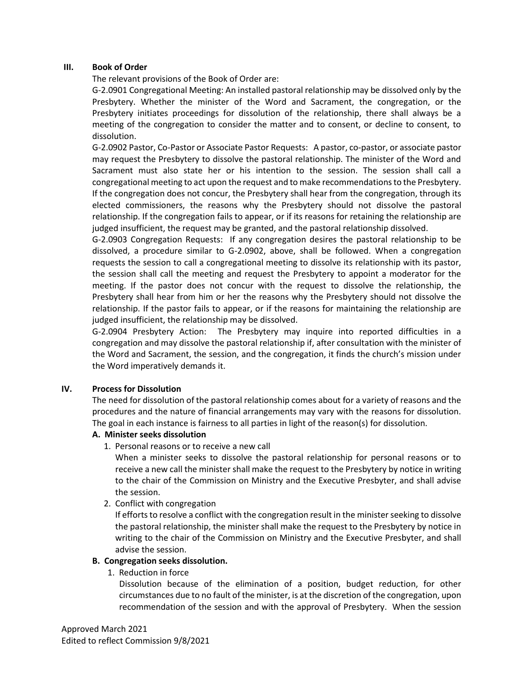#### **III. Book of Order**

The relevant provisions of the Book of Order are:

G-2.0901 Congregational Meeting: An installed pastoral relationship may be dissolved only by the Presbytery. Whether the minister of the Word and Sacrament, the congregation, or the Presbytery initiates proceedings for dissolution of the relationship, there shall always be a meeting of the congregation to consider the matter and to consent, or decline to consent, to dissolution.

G-2.0902 Pastor, Co-Pastor or Associate Pastor Requests: A pastor, co-pastor, or associate pastor may request the Presbytery to dissolve the pastoral relationship. The minister of the Word and Sacrament must also state her or his intention to the session. The session shall call a congregational meeting to act upon the request and to make recommendations to the Presbytery. If the congregation does not concur, the Presbytery shall hear from the congregation, through its elected commissioners, the reasons why the Presbytery should not dissolve the pastoral relationship. If the congregation fails to appear, or if its reasons for retaining the relationship are judged insufficient, the request may be granted, and the pastoral relationship dissolved.

G-2.0903 Congregation Requests: If any congregation desires the pastoral relationship to be dissolved, a procedure similar to G-2.0902, above, shall be followed. When a congregation requests the session to call a congregational meeting to dissolve its relationship with its pastor, the session shall call the meeting and request the Presbytery to appoint a moderator for the meeting. If the pastor does not concur with the request to dissolve the relationship, the Presbytery shall hear from him or her the reasons why the Presbytery should not dissolve the relationship. If the pastor fails to appear, or if the reasons for maintaining the relationship are judged insufficient, the relationship may be dissolved.

G-2.0904 Presbytery Action: The Presbytery may inquire into reported difficulties in a congregation and may dissolve the pastoral relationship if, after consultation with the minister of the Word and Sacrament, the session, and the congregation, it finds the church's mission under the Word imperatively demands it.

#### **IV. Process for Dissolution**

The need for dissolution of the pastoral relationship comes about for a variety of reasons and the procedures and the nature of financial arrangements may vary with the reasons for dissolution. The goal in each instance is fairness to all parties in light of the reason(s) for dissolution.

#### **A. Minister seeks dissolution**

1. Personal reasons or to receive a new call

When a minister seeks to dissolve the pastoral relationship for personal reasons or to receive a new call the minister shall make the request to the Presbytery by notice in writing to the chair of the Commission on Ministry and the Executive Presbyter, and shall advise the session.

2. Conflict with congregation

If efforts to resolve a conflict with the congregation result in the minister seeking to dissolve the pastoral relationship, the minister shall make the request to the Presbytery by notice in writing to the chair of the Commission on Ministry and the Executive Presbyter, and shall advise the session.

#### **B. Congregation seeks dissolution.**

#### 1. Reduction in force

Dissolution because of the elimination of a position, budget reduction, for other circumstances due to no fault of the minister, is at the discretion of the congregation, upon recommendation of the session and with the approval of Presbytery. When the session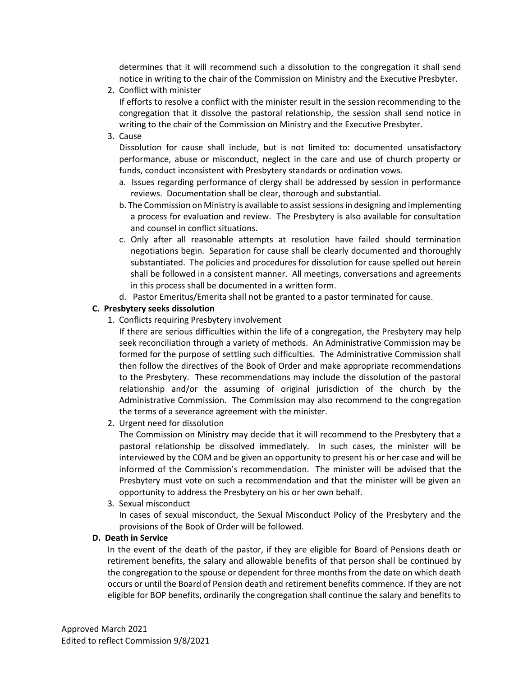determines that it will recommend such a dissolution to the congregation it shall send notice in writing to the chair of the Commission on Ministry and the Executive Presbyter.

2. Conflict with minister

If efforts to resolve a conflict with the minister result in the session recommending to the congregation that it dissolve the pastoral relationship, the session shall send notice in writing to the chair of the Commission on Ministry and the Executive Presbyter.

3. Cause

Dissolution for cause shall include, but is not limited to: documented unsatisfactory performance, abuse or misconduct, neglect in the care and use of church property or funds, conduct inconsistent with Presbytery standards or ordination vows.

- a. Issues regarding performance of clergy shall be addressed by session in performance reviews. Documentation shall be clear, thorough and substantial.
- b. The Commission on Ministry is available to assist sessions in designing and implementing a process for evaluation and review. The Presbytery is also available for consultation and counsel in conflict situations.
- c. Only after all reasonable attempts at resolution have failed should termination negotiations begin. Separation for cause shall be clearly documented and thoroughly substantiated. The policies and procedures for dissolution for cause spelled out herein shall be followed in a consistent manner. All meetings, conversations and agreements in this process shall be documented in a written form.
- d. Pastor Emeritus/Emerita shall not be granted to a pastor terminated for cause.

## **C. Presbytery seeks dissolution**

1. Conflicts requiring Presbytery involvement

If there are serious difficulties within the life of a congregation, the Presbytery may help seek reconciliation through a variety of methods. An Administrative Commission may be formed for the purpose of settling such difficulties. The Administrative Commission shall then follow the directives of the Book of Order and make appropriate recommendations to the Presbytery. These recommendations may include the dissolution of the pastoral relationship and/or the assuming of original jurisdiction of the church by the Administrative Commission. The Commission may also recommend to the congregation the terms of a severance agreement with the minister.

2. Urgent need for dissolution

The Commission on Ministry may decide that it will recommend to the Presbytery that a pastoral relationship be dissolved immediately. In such cases, the minister will be interviewed by the COM and be given an opportunity to present his or her case and will be informed of the Commission's recommendation. The minister will be advised that the Presbytery must vote on such a recommendation and that the minister will be given an opportunity to address the Presbytery on his or her own behalf.

3. Sexual misconduct

In cases of sexual misconduct, the Sexual Misconduct Policy of the Presbytery and the provisions of the Book of Order will be followed.

# **D. Death in Service**

In the event of the death of the pastor, if they are eligible for Board of Pensions death or retirement benefits, the salary and allowable benefits of that person shall be continued by the congregation to the spouse or dependent for three months from the date on which death occurs or until the Board of Pension death and retirement benefits commence. If they are not eligible for BOP benefits, ordinarily the congregation shall continue the salary and benefits to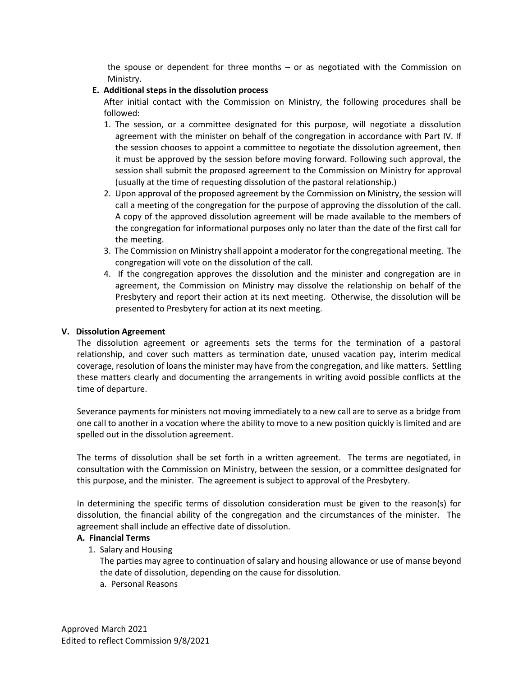the spouse or dependent for three months – or as negotiated with the Commission on Ministry.

## **E. Additional steps in the dissolution process**

After initial contact with the Commission on Ministry, the following procedures shall be followed:

- 1. The session, or a committee designated for this purpose, will negotiate a dissolution agreement with the minister on behalf of the congregation in accordance with Part IV. If the session chooses to appoint a committee to negotiate the dissolution agreement, then it must be approved by the session before moving forward. Following such approval, the session shall submit the proposed agreement to the Commission on Ministry for approval (usually at the time of requesting dissolution of the pastoral relationship.)
- 2. Upon approval of the proposed agreement by the Commission on Ministry, the session will call a meeting of the congregation for the purpose of approving the dissolution of the call. A copy of the approved dissolution agreement will be made available to the members of the congregation for informational purposes only no later than the date of the first call for the meeting.
- 3. The Commission on Ministry shall appoint a moderator for the congregational meeting. The congregation will vote on the dissolution of the call.
- 4. If the congregation approves the dissolution and the minister and congregation are in agreement, the Commission on Ministry may dissolve the relationship on behalf of the Presbytery and report their action at its next meeting. Otherwise, the dissolution will be presented to Presbytery for action at its next meeting.

## **V. Dissolution Agreement**

The dissolution agreement or agreements sets the terms for the termination of a pastoral relationship, and cover such matters as termination date, unused vacation pay, interim medical coverage, resolution of loans the minister may have from the congregation, and like matters. Settling these matters clearly and documenting the arrangements in writing avoid possible conflicts at the time of departure.

Severance payments for ministers not moving immediately to a new call are to serve as a bridge from one call to another in a vocation where the ability to move to a new position quickly is limited and are spelled out in the dissolution agreement.

The terms of dissolution shall be set forth in a written agreement. The terms are negotiated, in consultation with the Commission on Ministry, between the session, or a committee designated for this purpose, and the minister. The agreement is subject to approval of the Presbytery.

In determining the specific terms of dissolution consideration must be given to the reason(s) for dissolution, the financial ability of the congregation and the circumstances of the minister. The agreement shall include an effective date of dissolution.

## **A. Financial Terms**

1. Salary and Housing

The parties may agree to continuation of salary and housing allowance or use of manse beyond the date of dissolution, depending on the cause for dissolution.

a. Personal Reasons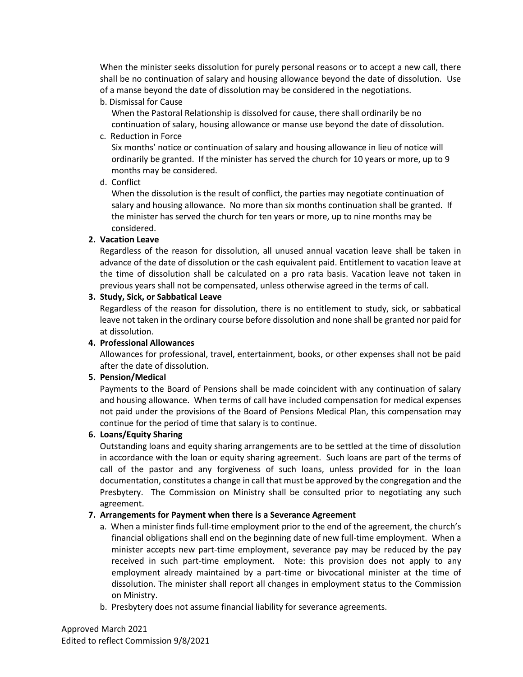When the minister seeks dissolution for purely personal reasons or to accept a new call, there shall be no continuation of salary and housing allowance beyond the date of dissolution. Use of a manse beyond the date of dissolution may be considered in the negotiations.

b. Dismissal for Cause

When the Pastoral Relationship is dissolved for cause, there shall ordinarily be no continuation of salary, housing allowance or manse use beyond the date of dissolution.

# c. Reduction in Force

Six months' notice or continuation of salary and housing allowance in lieu of notice will ordinarily be granted. If the minister has served the church for 10 years or more, up to 9 months may be considered.

## d. Conflict

When the dissolution is the result of conflict, the parties may negotiate continuation of salary and housing allowance. No more than six months continuation shall be granted. If the minister has served the church for ten years or more, up to nine months may be considered.

# **2. Vacation Leave**

Regardless of the reason for dissolution, all unused annual vacation leave shall be taken in advance of the date of dissolution or the cash equivalent paid. Entitlement to vacation leave at the time of dissolution shall be calculated on a pro rata basis. Vacation leave not taken in previous years shall not be compensated, unless otherwise agreed in the terms of call.

# **3. Study, Sick, or Sabbatical Leave**

Regardless of the reason for dissolution, there is no entitlement to study, sick, or sabbatical leave not taken in the ordinary course before dissolution and none shall be granted nor paid for at dissolution.

# **4. Professional Allowances**

Allowances for professional, travel, entertainment, books, or other expenses shall not be paid after the date of dissolution.

# **5. Pension/Medical**

Payments to the Board of Pensions shall be made coincident with any continuation of salary and housing allowance. When terms of call have included compensation for medical expenses not paid under the provisions of the Board of Pensions Medical Plan, this compensation may continue for the period of time that salary is to continue.

# **6. Loans/Equity Sharing**

Outstanding loans and equity sharing arrangements are to be settled at the time of dissolution in accordance with the loan or equity sharing agreement. Such loans are part of the terms of call of the pastor and any forgiveness of such loans, unless provided for in the loan documentation, constitutes a change in call that must be approved by the congregation and the Presbytery. The Commission on Ministry shall be consulted prior to negotiating any such agreement.

# **7. Arrangements for Payment when there is a Severance Agreement**

- a. When a minister finds full-time employment prior to the end of the agreement, the church's financial obligations shall end on the beginning date of new full-time employment. When a minister accepts new part-time employment, severance pay may be reduced by the pay received in such part-time employment. Note: this provision does not apply to any employment already maintained by a part-time or bivocational minister at the time of dissolution. The minister shall report all changes in employment status to the Commission on Ministry.
- b. Presbytery does not assume financial liability for severance agreements.